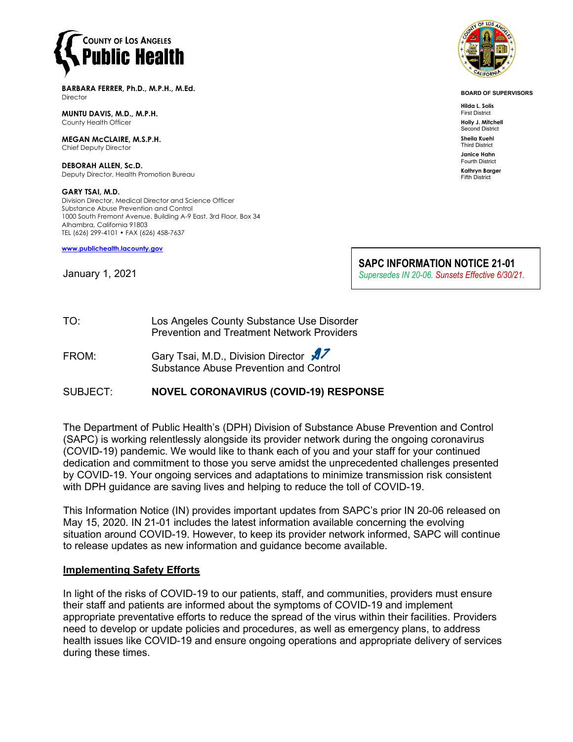

**BARBARA FERRER, Ph.D., M.P.H., M.Ed. Director** 

**MUNTU DAVIS, M.D., M.P.H.** County Health Officer

**MEGAN McCLAIRE, M.S.P.H.** Chief Deputy Director

**DEBORAH ALLEN, Sc.D.** Deputy Director, Health Promotion Bureau

**GARY TSAI, M.D.** Division Director, Medical Director and Science Officer Substance Abuse Prevention and Control 1000 South Fremont Avenue, Building A-9 East, 3rd Floor, Box 34 Alhambra, California 91803 TEL (626) 299-4101 • FAX (626) 458-7637

**[www.publichealth.lacounty.gov](http://www.publichealth.lacounty.gov/)**

January 1, 2021



**BOARD OF SUPERVISORS**

**Hilda L. Solis** First District **Holly J. Mitchell**

Second District **Sheila Kuehl**

Third District **Janice Hahn**

Fourth District **Kathryn Barger**

Fifth District

**SAPC INFORMATION NOTICE 21-01** *Supersedes IN 20-06. Sunsets Effective 6/30/21.* 

- TO: Los Angeles County Substance Use Disorder Prevention and Treatment Network Providers
- FROM: Gary Tsai, M.D., Division Director Substance Abuse Prevention and Control

### SUBJECT: **NOVEL CORONAVIRUS (COVID-19) RESPONSE**

The Department of Public Health's (DPH) Division of Substance Abuse Prevention and Control (SAPC) is working relentlessly alongside its provider network during the ongoing coronavirus (COVID-19) pandemic. We would like to thank each of you and your staff for your continued dedication and commitment to those you serve amidst the unprecedented challenges presented by COVID-19. Your ongoing services and adaptations to minimize transmission risk consistent with DPH guidance are saving lives and helping to reduce the toll of COVID-19.

This Information Notice (IN) provides important updates from SAPC's prior IN 20-06 released on May 15, 2020. IN 21-01 includes the latest information available concerning the evolving situation around COVID-19. However, to keep its provider network informed, SAPC will continue to release updates as new information and guidance become available.

#### **Implementing Safety Efforts**

In light of the risks of COVID-19 to our patients, staff, and communities, providers must ensure their staff and patients are informed about the symptoms of COVID-19 and implement appropriate preventative efforts to reduce the spread of the virus within their facilities. Providers need to develop or update policies and procedures, as well as emergency plans, to address health issues like COVID-19 and ensure ongoing operations and appropriate delivery of services during these times.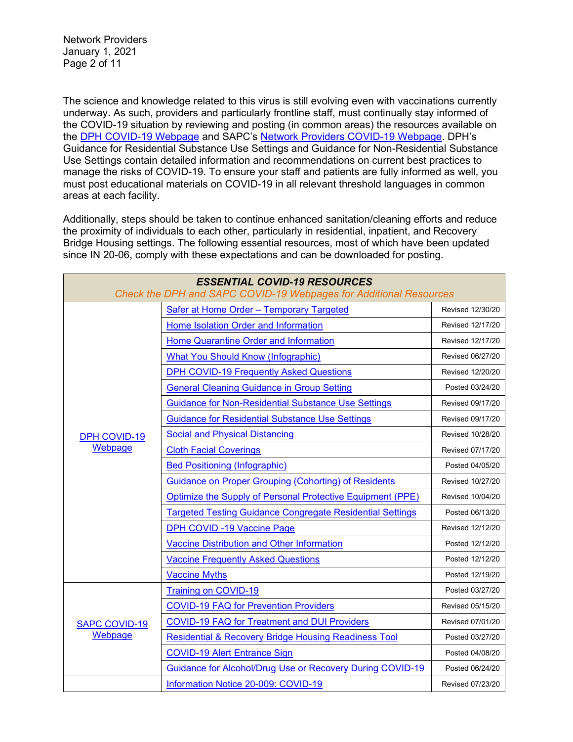Network Providers January 1, 2021 Page 2 of 11

The science and knowledge related to this virus is still evolving even with vaccinations currently underway. As such, providers and particularly frontline staff, must continually stay informed of the COVID-19 situation by reviewing and posting (in common areas) the resources available on the [DPH COVID-19 Webpage](http://publichealth.lacounty.gov/media/Coronavirus/) and SAPC's [Network Providers COVID-19 Webpage.](http://publichealth.lacounty.gov/sapc/providers/covid19/) DPH's Guidance for Residential Substance Use Settings and Guidance for Non-Residential Substance Use Settings contain detailed information and recommendations on current best practices to manage the risks of COVID-19. To ensure your staff and patients are fully informed as well, you must post educational materials on COVID-19 in all relevant threshold languages in common areas at each facility.

Additionally, steps should be taken to continue enhanced sanitation/cleaning efforts and reduce the proximity of individuals to each other, particularly in residential, inpatient, and Recovery Bridge Housing settings. The following essential resources, most of which have been updated since IN 20-06, comply with these expectations and can be downloaded for posting.

| <b>ESSENTIAL COVID-19 RESOURCES</b><br>Check the DPH and SAPC COVID-19 Webpages for Additional Resources |                                                                  |                  |  |
|----------------------------------------------------------------------------------------------------------|------------------------------------------------------------------|------------------|--|
| <b>DPH COVID-19</b><br>Webpage                                                                           | <b>Safer at Home Order - Temporary Targeted</b>                  | Revised 12/30/20 |  |
|                                                                                                          | Home Isolation Order and Information                             | Revised 12/17/20 |  |
|                                                                                                          | Home Quarantine Order and Information                            | Revised 12/17/20 |  |
|                                                                                                          | <b>What You Should Know (Infographic)</b>                        | Revised 06/27/20 |  |
|                                                                                                          | <b>DPH COVID-19 Frequently Asked Questions</b>                   | Revised 12/20/20 |  |
|                                                                                                          | <b>General Cleaning Guidance in Group Setting</b>                | Posted 03/24/20  |  |
|                                                                                                          | <b>Guidance for Non-Residential Substance Use Settings</b>       | Revised 09/17/20 |  |
|                                                                                                          | <b>Guidance for Residential Substance Use Settings</b>           | Revised 09/17/20 |  |
|                                                                                                          | <b>Social and Physical Distancing</b>                            | Revised 10/28/20 |  |
|                                                                                                          | <b>Cloth Facial Coverings</b>                                    | Revised 07/17/20 |  |
|                                                                                                          | <b>Bed Positioning (Infographic)</b>                             | Posted 04/05/20  |  |
|                                                                                                          | <b>Guidance on Proper Grouping (Cohorting) of Residents</b>      | Revised 10/27/20 |  |
|                                                                                                          | Optimize the Supply of Personal Protective Equipment (PPE)       | Revised 10/04/20 |  |
|                                                                                                          | <b>Targeted Testing Guidance Congregate Residential Settings</b> | Posted 06/13/20  |  |
|                                                                                                          | <b>DPH COVID -19 Vaccine Page</b>                                | Revised 12/12/20 |  |
|                                                                                                          | Vaccine Distribution and Other Information                       | Posted 12/12/20  |  |
|                                                                                                          | <b>Vaccine Frequently Asked Questions</b>                        | Posted 12/12/20  |  |
|                                                                                                          | <b>Vaccine Myths</b>                                             | Posted 12/19/20  |  |
| <b>SAPC COVID-19</b><br>Webpage                                                                          | <b>Training on COVID-19</b>                                      | Posted 03/27/20  |  |
|                                                                                                          | <b>COVID-19 FAQ for Prevention Providers</b>                     | Revised 05/15/20 |  |
|                                                                                                          | <b>COVID-19 FAQ for Treatment and DUI Providers</b>              | Revised 07/01/20 |  |
|                                                                                                          | <b>Residential &amp; Recovery Bridge Housing Readiness Tool</b>  | Posted 03/27/20  |  |
|                                                                                                          | <b>COVID-19 Alert Entrance Sign</b>                              | Posted 04/08/20  |  |
|                                                                                                          | Guidance for Alcohol/Drug Use or Recovery During COVID-19        | Posted 06/24/20  |  |
|                                                                                                          | Information Notice 20-009: COVID-19                              | Revised 07/23/20 |  |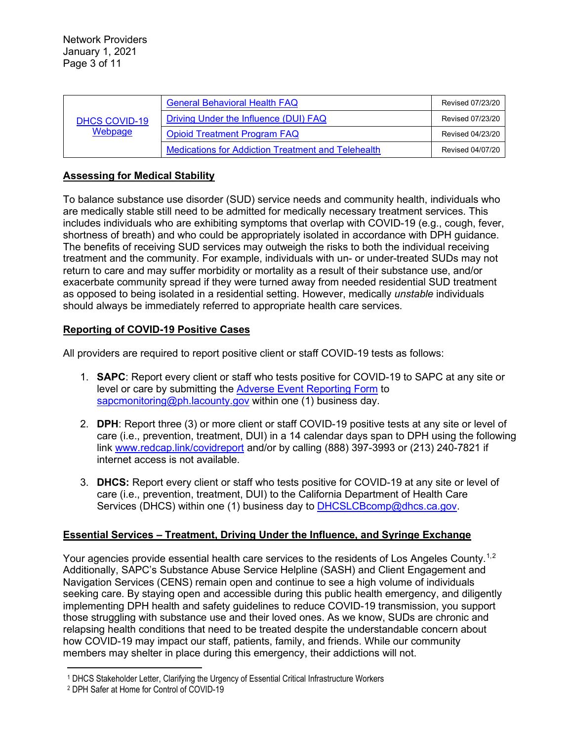| <b>DHCS COVID-19</b><br>Webpage | <b>General Behavioral Health FAQ</b>                      | Revised 07/23/20 |
|---------------------------------|-----------------------------------------------------------|------------------|
|                                 | Driving Under the Influence (DUI) FAQ                     | Revised 07/23/20 |
|                                 | <b>Opioid Treatment Program FAQ</b>                       | Revised 04/23/20 |
|                                 | <b>Medications for Addiction Treatment and Telehealth</b> | Revised 04/07/20 |

# **Assessing for Medical Stability**

To balance substance use disorder (SUD) service needs and community health, individuals who are medically stable still need to be admitted for medically necessary treatment services. This includes individuals who are exhibiting symptoms that overlap with COVID-19 (e.g., cough, fever, shortness of breath) and who could be appropriately isolated in accordance with DPH guidance. The benefits of receiving SUD services may outweigh the risks to both the individual receiving treatment and the community. For example, individuals with un- or under-treated SUDs may not return to care and may suffer morbidity or mortality as a result of their substance use, and/or exacerbate community spread if they were turned away from needed residential SUD treatment as opposed to being isolated in a residential setting. However, medically *unstable* individuals should always be immediately referred to appropriate health care services.

# **Reporting of COVID-19 Positive Cases**

All providers are required to report positive client or staff COVID-19 tests as follows:

- 1. **SAPC**: Report every client or staff who tests positive for COVID-19 to SAPC at any site or level or care by submitting the [Adverse Event Reporting Form](http://publichealth.lacounty.gov/sapc/NetworkProviders/ClinicalForms/AQI/AdverseEventReportingForm.pdf) to [sapcmonitoring@ph.lacounty.gov](mailto:sapcmonitoring@ph.lacounty.gov) within one (1) business day.
- 2. **DPH**: Report three (3) or more client or staff COVID-19 positive tests at any site or level of care (i.e., prevention, treatment, DUI) in a 14 calendar days span to DPH using the following link [www.redcap.link/covidreport](http://www.redcap.link/covidreport) and/or by calling (888) 397-3993 or (213) 240-7821 if internet access is not available.
- 3. **DHCS:** Report every client or staff who tests positive for COVID-19 at any site or level of care (i.e., prevention, treatment, DUI) to the California Department of Health Care Services (DHCS) within one (1) business day to [DHCSLCBcomp@dhcs.ca.gov.](mailto:DHCSLCBcomp@dhcs.ca.gov)

### **Essential Services – Treatment, Driving Under the Influence, and Syringe Exchange**

Your agencies provide essential health care services to the residents of Los Angeles County.<sup>[1,](#page-2-0)[2](#page-2-1)</sup> Additionally, SAPC's Substance Abuse Service Helpline (SASH) and Client Engagement and Navigation Services (CENS) remain open and continue to see a high volume of individuals seeking care. By staying open and accessible during this public health emergency, and diligently implementing DPH health and safety guidelines to reduce COVID-19 transmission, you support those struggling with substance use and their loved ones. As we know, SUDs are chronic and relapsing health conditions that need to be treated despite the understandable concern about how COVID-19 may impact our staff, patients, family, and friends. While our community members may shelter in place during this emergency, their addictions will not.

<span id="page-2-0"></span><sup>1</sup> DHCS Stakeholder Letter, Clarifying the Urgency of Essential Critical Infrastructure Workers

<span id="page-2-1"></span><sup>2</sup> DPH Safer at Home for Control of COVID-19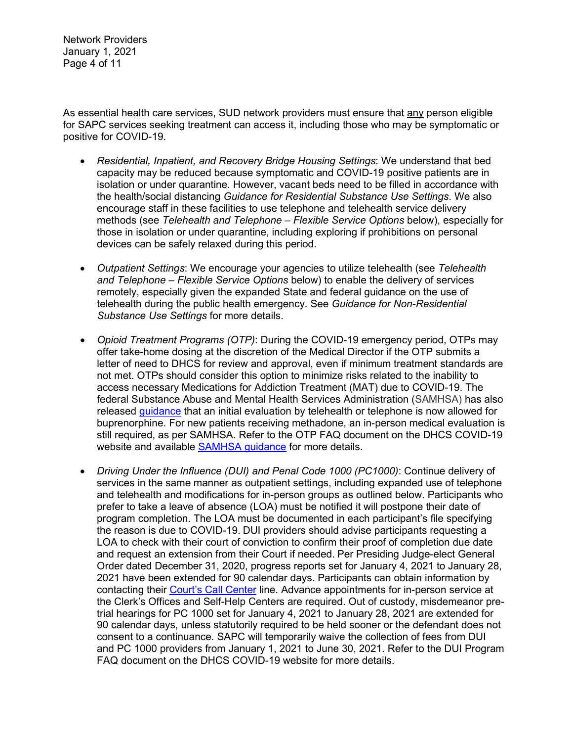Network Providers January 1, 2021 Page 4 of 11

As essential health care services, SUD network providers must ensure that any person eligible for SAPC services seeking treatment can access it, including those who may be symptomatic or positive for COVID-19.

- *Residential, Inpatient, and Recovery Bridge Housing Settings*: We understand that bed capacity may be reduced because symptomatic and COVID-19 positive patients are in isolation or under quarantine. However, vacant beds need to be filled in accordance with the health/social distancing *Guidance for Residential Substance Use Settings*. We also encourage staff in these facilities to use telephone and telehealth service delivery methods (see *Telehealth and Telephone – Flexible Service Options* below), especially for those in isolation or under quarantine, including exploring if prohibitions on personal devices can be safely relaxed during this period.
- *Outpatient Settings*: We encourage your agencies to utilize telehealth (see *Telehealth and Telephone – Flexible Service Options* below) to enable the delivery of services remotely, especially given the expanded State and federal guidance on the use of telehealth during the public health emergency. See *Guidance for Non-Residential Substance Use Settings* for more details.
- *Opioid Treatment Programs (OTP)*: During the COVID-19 emergency period, OTPs may offer take-home dosing at the discretion of the Medical Director if the OTP submits a letter of need to DHCS for review and approval, even if minimum treatment standards are not met. OTPs should consider this option to minimize risks related to the inability to access necessary Medications for Addiction Treatment (MAT) due to COVID-19. The federal Substance Abuse and Mental Health Services Administration (SAMHSA) has also released [guidance](https://www.samhsa.gov/sites/default/files/faqs-for-oud-prescribing-and-dispensing.pdf) that an initial evaluation by telehealth or telephone is now allowed for buprenorphine. For new patients receiving methadone, an in-person medical evaluation is still required, as per SAMHSA. Refer to the OTP FAQ document on the DHCS COVID-19 website and available [SAMHSA guidance](https://www.samhsa.gov/sites/default/files/faqs-for-oud-prescribing-and-dispensing.pdf) for more details.
- *Driving Under the Influence (DUI) and Penal Code 1000 (PC1000)*: Continue delivery of services in the same manner as outpatient settings, including expanded use of telephone and telehealth and modifications for in-person groups as outlined below. Participants who prefer to take a leave of absence (LOA) must be notified it will postpone their date of program completion. The LOA must be documented in each participant's file specifying the reason is due to COVID-19. DUI providers should advise participants requesting a LOA to check with their court of conviction to confirm their proof of completion due date and request an extension from their Court if needed. Per Presiding Judge-elect General Order dated December 31, 2020, progress reports set for January 4, 2021 to January 28, 2021 have been extended for 90 calendar days. Participants can obtain information by contacting their [Court's Call Center](http://www.lacourt.org/newsmedia/ui/pdf/CALLCENTERPHONENUMBERSfinal.pdf) line. Advance appointments for in-person service at the Clerk's Offices and Self-Help Centers are required. Out of custody, misdemeanor pretrial hearings for PC 1000 set for January 4, 2021 to January 28, 2021 are extended for 90 calendar days, unless statutorily required to be held sooner or the defendant does not consent to a continuance. SAPC will temporarily waive the collection of fees from DUI and PC 1000 providers from January 1, 2021 to June 30, 2021. Refer to the DUI Program FAQ document on the DHCS COVID-19 website for more details.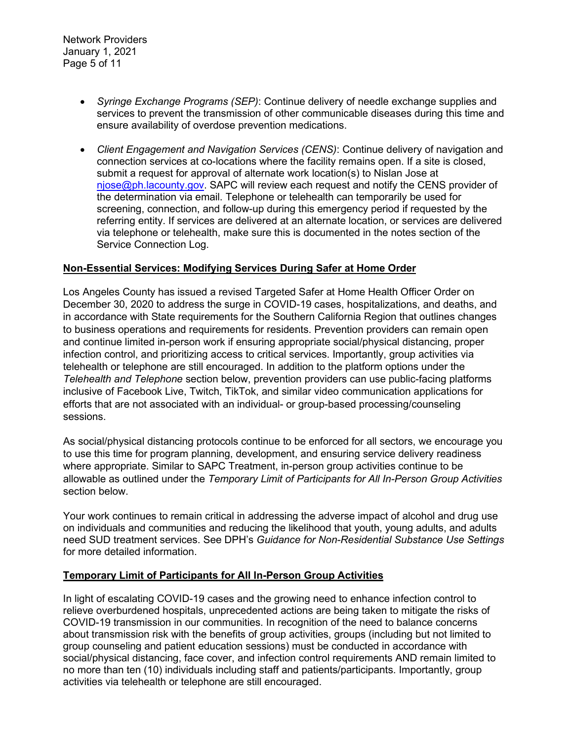- *Syringe Exchange Programs (SEP)*: Continue delivery of needle exchange supplies and services to prevent the transmission of other communicable diseases during this time and ensure availability of overdose prevention medications.
- *Client Engagement and Navigation Services (CENS)*: Continue delivery of navigation and connection services at co-locations where the facility remains open. If a site is closed, submit a request for approval of alternate work location(s) to Nislan Jose at [njose@ph.lacounty.gov.](mailto:njose@ph.lacounty.gov) SAPC will review each request and notify the CENS provider of the determination via email. Telephone or telehealth can temporarily be used for screening, connection, and follow-up during this emergency period if requested by the referring entity. If services are delivered at an alternate location, or services are delivered via telephone or telehealth, make sure this is documented in the notes section of the Service Connection Log.

#### **Non-Essential Services: Modifying Services During Safer at Home Order**

Los Angeles County has issued a revised Targeted Safer at Home Health Officer Order on December 30, 2020 to address the surge in COVID-19 cases, hospitalizations, and deaths, and in accordance with State requirements for the Southern California Region that outlines changes to business operations and requirements for residents. Prevention providers can remain open and continue limited in-person work if ensuring appropriate social/physical distancing, proper infection control, and prioritizing access to critical services. Importantly, group activities via telehealth or telephone are still encouraged. In addition to the platform options under the *Telehealth and Telephone* section below, prevention providers can use public-facing platforms inclusive of Facebook Live, Twitch, TikTok, and similar video communication applications for efforts that are not associated with an individual- or group-based processing/counseling sessions.

As social/physical distancing protocols continue to be enforced for all sectors, we encourage you to use this time for program planning, development, and ensuring service delivery readiness where appropriate. Similar to SAPC Treatment, in-person group activities continue to be allowable as outlined under the *Temporary Limit of Participants for All In-Person Group Activities* section below.

Your work continues to remain critical in addressing the adverse impact of alcohol and drug use on individuals and communities and reducing the likelihood that youth, young adults, and adults need SUD treatment services. See DPH's *Guidance for Non-Residential Substance Use Settings* for more detailed information.

### **Temporary Limit of Participants for All In-Person Group Activities**

In light of escalating COVID-19 cases and the growing need to enhance infection control to relieve overburdened hospitals, unprecedented actions are being taken to mitigate the risks of COVID-19 transmission in our communities. In recognition of the need to balance concerns about transmission risk with the benefits of group activities, groups (including but not limited to group counseling and patient education sessions) must be conducted in accordance with social/physical distancing, face cover, and infection control requirements AND remain limited to no more than ten (10) individuals including staff and patients/participants. Importantly, group activities via telehealth or telephone are still encouraged.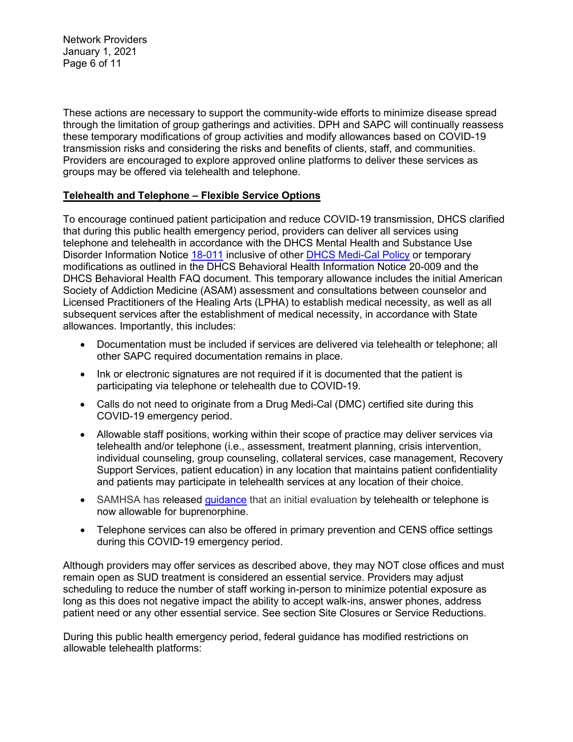Network Providers January 1, 2021 Page 6 of 11

These actions are necessary to support the community-wide efforts to minimize disease spread through the limitation of group gatherings and activities. DPH and SAPC will continually reassess these temporary modifications of group activities and modify allowances based on COVID-19 transmission risks and considering the risks and benefits of clients, staff, and communities. Providers are encouraged to explore approved online platforms to deliver these services as groups may be offered via telehealth and telephone.

### **Telehealth and Telephone – Flexible Service Options**

To encourage continued patient participation and reduce COVID-19 transmission, DHCS clarified that during this public health emergency period, providers can deliver all services using telephone and telehealth in accordance with the DHCS Mental Health and Substance Use Disorder Information Notice [18-011](https://www.dhcs.ca.gov/services/MH/Documents/Information%20Notices/IN%2018-%20Network%20Adequacy/MHSUDS_IN_18-011_Network_Adequacy.pdf) inclusive of other [DHCS Medi-Cal Policy](https://www.dhcs.ca.gov/provgovpart/Pages/Telehealth.aspx) or temporary modifications as outlined in the DHCS Behavioral Health Information Notice 20-009 and the DHCS Behavioral Health FAQ document. This temporary allowance includes the initial American Society of Addiction Medicine (ASAM) assessment and consultations between counselor and Licensed Practitioners of the Healing Arts (LPHA) to establish medical necessity, as well as all subsequent services after the establishment of medical necessity, in accordance with State allowances. Importantly, this includes:

- Documentation must be included if services are delivered via telehealth or telephone; all other SAPC required documentation remains in place.
- Ink or electronic signatures are not required if it is documented that the patient is participating via telephone or telehealth due to COVID-19.
- Calls do not need to originate from a Drug Medi-Cal (DMC) certified site during this COVID-19 emergency period.
- Allowable staff positions, working within their scope of practice may deliver services via telehealth and/or telephone (i.e., assessment, treatment planning, crisis intervention, individual counseling, group counseling, collateral services, case management, Recovery Support Services, patient education) in any location that maintains patient confidentiality and patients may participate in telehealth services at any location of their choice.
- SAMHSA has released [guidance](https://www.samhsa.gov/sites/default/files/faqs-for-oud-prescribing-and-dispensing.pdf) that an initial evaluation by telehealth or telephone is now allowable for buprenorphine.
- Telephone services can also be offered in primary prevention and CENS office settings during this COVID-19 emergency period.

Although providers may offer services as described above, they may NOT close offices and must remain open as SUD treatment is considered an essential service. Providers may adjust scheduling to reduce the number of staff working in-person to minimize potential exposure as long as this does not negative impact the ability to accept walk-ins, answer phones, address patient need or any other essential service. See section Site Closures or Service Reductions.

During this public health emergency period, federal guidance has modified restrictions on allowable telehealth platforms: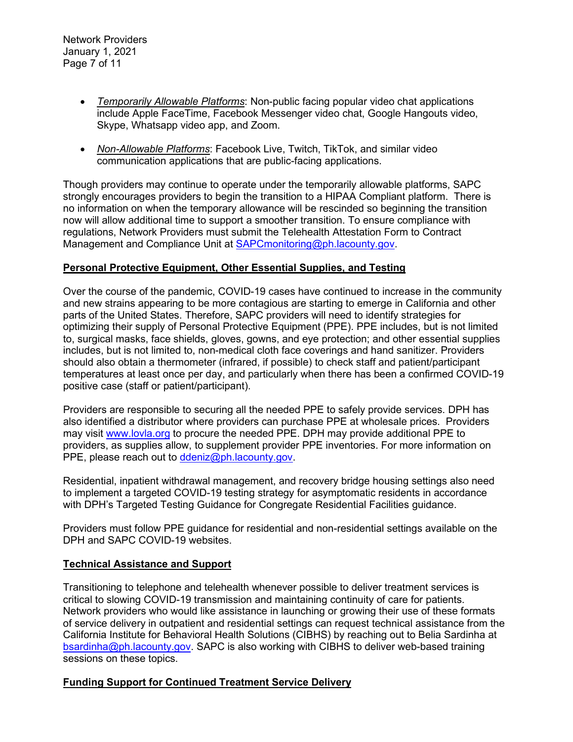Network Providers January 1, 2021 Page 7 of 11

- *Temporarily Allowable Platforms*: Non-public facing popular video chat applications include Apple FaceTime, Facebook Messenger video chat, Google Hangouts video, Skype, Whatsapp video app, and Zoom.
- *Non-Allowable Platforms*: Facebook Live, Twitch, TikTok, and similar video communication applications that are public-facing applications.

Though providers may continue to operate under the temporarily allowable platforms, SAPC strongly encourages providers to begin the transition to a HIPAA Compliant platform. There is no information on when the temporary allowance will be rescinded so beginning the transition now will allow additional time to support a smoother transition. To ensure compliance with regulations, Network Providers must submit the Telehealth Attestation Form to Contract Management and Compliance Unit at [SAPCmonitoring@ph.lacounty.gov.](mailto:sapcmonitoring@ph.lacounty.gov)

### **Personal Protective Equipment, Other Essential Supplies, and Testing**

Over the course of the pandemic, COVID-19 cases have continued to increase in the community and new strains appearing to be more contagious are starting to emerge in California and other parts of the United States. Therefore, SAPC providers will need to identify strategies for optimizing their supply of Personal Protective Equipment (PPE). PPE includes, but is not limited to, surgical masks, face shields, gloves, gowns, and eye protection; and other essential supplies includes, but is not limited to, non-medical cloth face coverings and hand sanitizer. Providers should also obtain a thermometer (infrared, if possible) to check staff and patient/participant temperatures at least once per day, and particularly when there has been a confirmed COVID-19 positive case (staff or patient/participant).

Providers are responsible to securing all the needed PPE to safely provide services. DPH has also identified a distributor where providers can purchase PPE at wholesale prices. Providers may visit [www.lovla.org](http://www.lovla.org/) to procure the needed PPE. DPH may provide additional PPE to providers, as supplies allow, to supplement provider PPE inventories. For more information on PPE, please reach out to [ddeniz@ph.lacounty.gov.](mailto:ddeniz@ph.lacounty.gov)

Residential, inpatient withdrawal management, and recovery bridge housing settings also need to implement a targeted COVID-19 testing strategy for asymptomatic residents in accordance with DPH's Targeted Testing Guidance for Congregate Residential Facilities guidance.

Providers must follow PPE guidance for residential and non-residential settings available on the DPH and SAPC COVID-19 websites.

### **Technical Assistance and Support**

Transitioning to telephone and telehealth whenever possible to deliver treatment services is critical to slowing COVID-19 transmission and maintaining continuity of care for patients. Network providers who would like assistance in launching or growing their use of these formats of service delivery in outpatient and residential settings can request technical assistance from the California Institute for Behavioral Health Solutions (CIBHS) by reaching out to Belia Sardinha at [bsardinha@ph.lacounty.gov.](mailto:bsardinha@ph.lacounty.gov) SAPC is also working with CIBHS to deliver web-based training sessions on these topics.

### **Funding Support for Continued Treatment Service Delivery**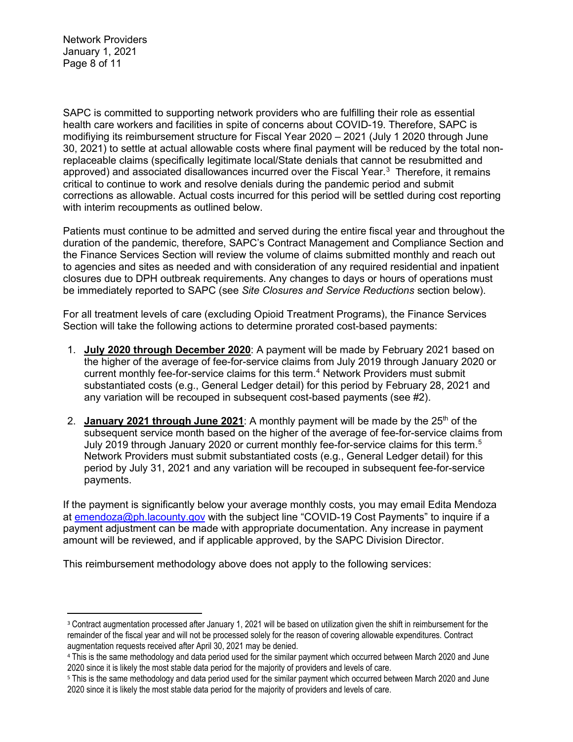Network Providers January 1, 2021 Page 8 of 11

SAPC is committed to supporting network providers who are fulfilling their role as essential health care workers and facilities in spite of concerns about COVID-19. Therefore, SAPC is modifiying its reimbursement structure for Fiscal Year 2020 – 2021 (July 1 2020 through June 30, 2021) to settle at actual allowable costs where final payment will be reduced by the total nonreplaceable claims (specifically legitimate local/State denials that cannot be resubmitted and approved) and associated disallowances incurred over the Fiscal Year. $^3\,$  $^3\,$  $^3\,$  Therefore, it remains critical to continue to work and resolve denials during the pandemic period and submit corrections as allowable. Actual costs incurred for this period will be settled during cost reporting with interim recoupments as outlined below.

Patients must continue to be admitted and served during the entire fiscal year and throughout the duration of the pandemic, therefore, SAPC's Contract Management and Compliance Section and the Finance Services Section will review the volume of claims submitted monthly and reach out to agencies and sites as needed and with consideration of any required residential and inpatient closures due to DPH outbreak requirements. Any changes to days or hours of operations must be immediately reported to SAPC (see *Site Closures and Service Reductions* section below).

For all treatment levels of care (excluding Opioid Treatment Programs), the Finance Services Section will take the following actions to determine prorated cost-based payments:

- 1. **July 2020 through December 2020**: A payment will be made by February 2021 based on the higher of the average of fee-for-service claims from July 2019 through January 2020 or current monthly fee-for-service claims for this term. [4](#page-7-1) Network Providers must submit substantiated costs (e.g., General Ledger detail) for this period by February 28, 2021 and any variation will be recouped in subsequent cost-based payments (see #2).
- 2. **January 2021 through June 2021**: A monthly payment will be made by the  $25<sup>th</sup>$  of the subsequent service month based on the higher of the average of fee-for-service claims from July 2019 through January 2020 or current monthly fee-for-service claims for this term.[5](#page-7-2) Network Providers must submit substantiated costs (e.g., General Ledger detail) for this period by July 31, 2021 and any variation will be recouped in subsequent fee-for-service payments.

If the payment is significantly below your average monthly costs, you may email Edita Mendoza at [emendoza@ph.lacounty.gov](mailto:emendoza@ph.lacounty.gov) with the subject line "COVID-19 Cost Payments" to inquire if a payment adjustment can be made with appropriate documentation. Any increase in payment amount will be reviewed, and if applicable approved, by the SAPC Division Director.

This reimbursement methodology above does not apply to the following services:

<span id="page-7-0"></span><sup>&</sup>lt;sup>3</sup> Contract augmentation processed after January 1, 2021 will be based on utilization given the shift in reimbursement for the remainder of the fiscal year and will not be processed solely for the reason of covering allowable expenditures. Contract augmentation requests received after April 30, 2021 may be denied.

<span id="page-7-1"></span><sup>4</sup> This is the same methodology and data period used for the similar payment which occurred between March 2020 and June 2020 since it is likely the most stable data period for the majority of providers and levels of care.

<span id="page-7-2"></span><sup>5</sup> This is the same methodology and data period used for the similar payment which occurred between March 2020 and June 2020 since it is likely the most stable data period for the majority of providers and levels of care.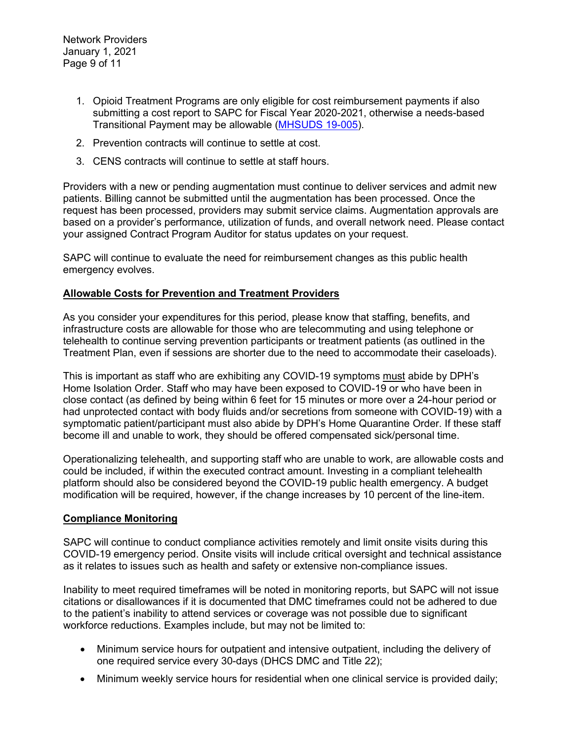- 1. Opioid Treatment Programs are only eligible for cost reimbursement payments if also submitting a cost report to SAPC for Fiscal Year 2020-2021, otherwise a needs-based Transitional Payment may be allowable [\(MHSUDS 19-005\)](https://www.dhcs.ca.gov/formsandpubs/Documents/MHSUDS%20Information%20Notices/MHSUDS-Information-Notice-19-005-NTP-Cost-Reporting.pdf).
- 2. Prevention contracts will continue to settle at cost.
- 3. CENS contracts will continue to settle at staff hours.

Providers with a new or pending augmentation must continue to deliver services and admit new patients. Billing cannot be submitted until the augmentation has been processed. Once the request has been processed, providers may submit service claims. Augmentation approvals are based on a provider's performance, utilization of funds, and overall network need. Please contact your assigned Contract Program Auditor for status updates on your request.

SAPC will continue to evaluate the need for reimbursement changes as this public health emergency evolves.

### **Allowable Costs for Prevention and Treatment Providers**

As you consider your expenditures for this period, please know that staffing, benefits, and infrastructure costs are allowable for those who are telecommuting and using telephone or telehealth to continue serving prevention participants or treatment patients (as outlined in the Treatment Plan, even if sessions are shorter due to the need to accommodate their caseloads).

This is important as staff who are exhibiting any COVID-19 symptoms must abide by DPH's Home Isolation Order. Staff who may have been exposed to COVID-19 or who have been in close contact (as defined by being within 6 feet for 15 minutes or more over a 24-hour period or had unprotected contact with body fluids and/or secretions from someone with COVID-19) with a symptomatic patient/participant must also abide by DPH's Home Quarantine Order. If these staff become ill and unable to work, they should be offered compensated sick/personal time.

Operationalizing telehealth, and supporting staff who are unable to work, are allowable costs and could be included, if within the executed contract amount. Investing in a compliant telehealth platform should also be considered beyond the COVID-19 public health emergency. A budget modification will be required, however, if the change increases by 10 percent of the line-item.

#### **Compliance Monitoring**

SAPC will continue to conduct compliance activities remotely and limit onsite visits during this COVID-19 emergency period. Onsite visits will include critical oversight and technical assistance as it relates to issues such as health and safety or extensive non-compliance issues.

Inability to meet required timeframes will be noted in monitoring reports, but SAPC will not issue citations or disallowances if it is documented that DMC timeframes could not be adhered to due to the patient's inability to attend services or coverage was not possible due to significant workforce reductions. Examples include, but may not be limited to:

- Minimum service hours for outpatient and intensive outpatient, including the delivery of one required service every 30-days (DHCS DMC and Title 22);
- Minimum weekly service hours for residential when one clinical service is provided daily;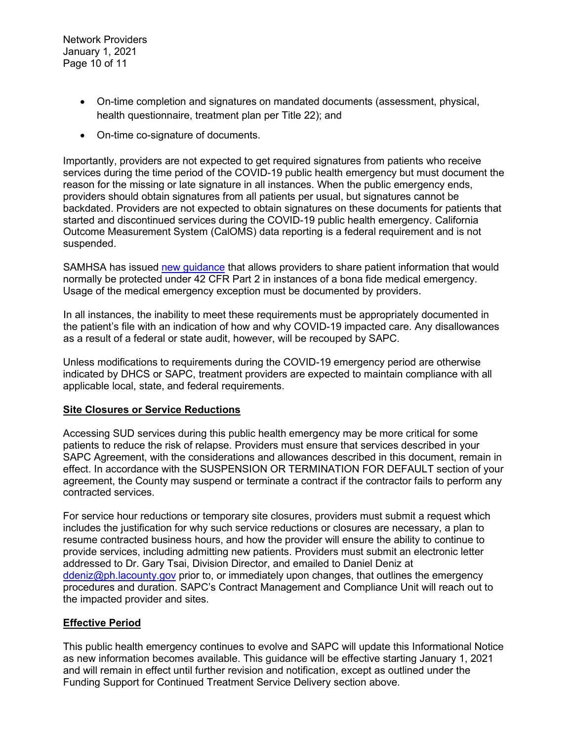Network Providers January 1, 2021 Page 10 of 11

- On-time completion and signatures on mandated documents (assessment, physical, health questionnaire, treatment plan per Title 22); and
- On-time co-signature of documents.

Importantly, providers are not expected to get required signatures from patients who receive services during the time period of the COVID-19 public health emergency but must document the reason for the missing or late signature in all instances. When the public emergency ends, providers should obtain signatures from all patients per usual, but signatures cannot be backdated. Providers are not expected to obtain signatures on these documents for patients that started and discontinued services during the COVID-19 public health emergency. California Outcome Measurement System (CalOMS) data reporting is a federal requirement and is not suspended.

SAMHSA has issued [new guidance](https://www.samhsa.gov/sites/default/files/covid-19-42-cfr-part-2-guidance-03192020.pdf) that allows providers to share patient information that would normally be protected under 42 CFR Part 2 in instances of a bona fide medical emergency. Usage of the medical emergency exception must be documented by providers.

In all instances, the inability to meet these requirements must be appropriately documented in the patient's file with an indication of how and why COVID-19 impacted care. Any disallowances as a result of a federal or state audit, however, will be recouped by SAPC.

Unless modifications to requirements during the COVID-19 emergency period are otherwise indicated by DHCS or SAPC, treatment providers are expected to maintain compliance with all applicable local, state, and federal requirements.

### **Site Closures or Service Reductions**

Accessing SUD services during this public health emergency may be more critical for some patients to reduce the risk of relapse. Providers must ensure that services described in your SAPC Agreement, with the considerations and allowances described in this document, remain in effect. In accordance with the SUSPENSION OR TERMINATION FOR DEFAULT section of your agreement, the County may suspend or terminate a contract if the contractor fails to perform any contracted services.

For service hour reductions or temporary site closures, providers must submit a request which includes the justification for why such service reductions or closures are necessary, a plan to resume contracted business hours, and how the provider will ensure the ability to continue to provide services, including admitting new patients. Providers must submit an electronic letter addressed to Dr. Gary Tsai, Division Director, and emailed to Daniel Deniz at [ddeniz@ph.lacounty.gov](mailto:ddeniz@ph.lacounty.gov) prior to, or immediately upon changes, that outlines the emergency procedures and duration. SAPC's Contract Management and Compliance Unit will reach out to the impacted provider and sites.

### **Effective Period**

This public health emergency continues to evolve and SAPC will update this Informational Notice as new information becomes available. This guidance will be effective starting January 1, 2021 and will remain in effect until further revision and notification, except as outlined under the Funding Support for Continued Treatment Service Delivery section above.